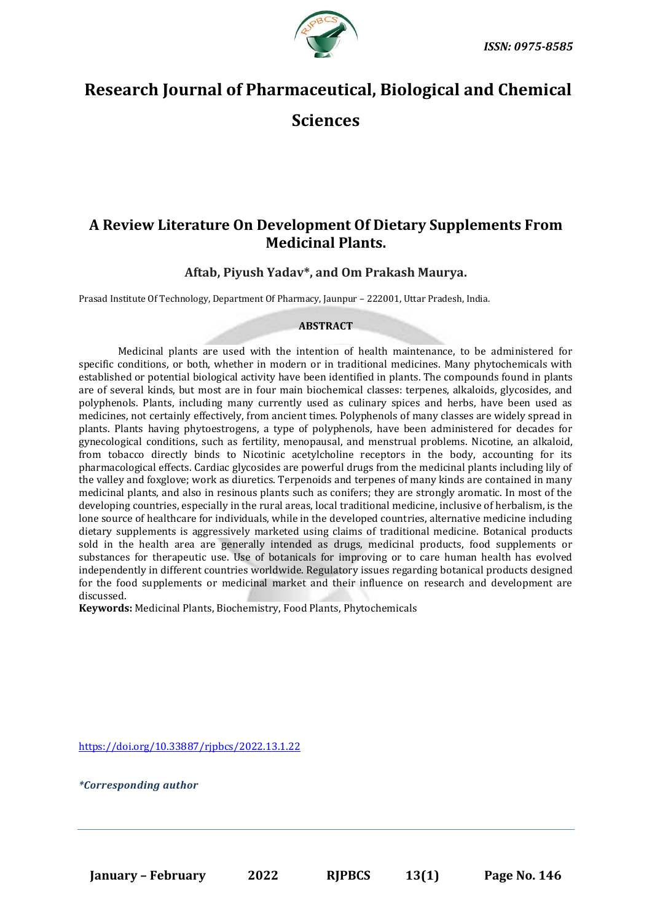

# **Research Journal of Pharmaceutical, Biological and Chemical**

**Sciences**

## **A Review Literature On Development Of Dietary Supplements From Medicinal Plants.**

**Aftab, Piyush Yadav\*, and Om Prakash Maurya.**

Prasad Institute Of Technology, Department Of Pharmacy, Jaunpur – 222001, Uttar Pradesh, India.

### **ABSTRACT**

Medicinal plants are used with the intention of health maintenance, to be administered for specific conditions, or both, whether in modern or in traditional medicines. Many phytochemicals with established or potential biological activity have been identified in plants. The compounds found in plants are of several kinds, but most are in four main biochemical classes: terpenes, alkaloids, glycosides, and polyphenols. Plants, including many currently used as culinary spices and herbs, have been used as medicines, not certainly effectively, from ancient times. Polyphenols of many classes are widely spread in plants. Plants having phytoestrogens, a type of polyphenols, have been administered for decades for gynecological conditions, such as fertility, menopausal, and menstrual problems. Nicotine, an alkaloid, from tobacco directly binds to Nicotinic acetylcholine receptors in the body, accounting for its pharmacological effects. Cardiac glycosides are powerful drugs from the medicinal plants including lily of the valley and foxglove; work as diuretics. Terpenoids and terpenes of many kinds are contained in many medicinal plants, and also in resinous plants such as conifers; they are strongly aromatic. In most of the developing countries, especially in the rural areas, local traditional medicine, inclusive of herbalism, is the lone source of healthcare for individuals, while in the developed countries, alternative medicine including dietary supplements is aggressively marketed using claims of traditional medicine. Botanical products sold in the health area are generally intended as drugs, medicinal products, food supplements or substances for therapeutic use. Use of botanicals for improving or to care human health has evolved independently in different countries worldwide. Regulatory issues regarding botanical products designed for the food supplements or medicinal market and their influence on research and development are discussed.

**Keywords:** Medicinal Plants, Biochemistry, Food Plants, Phytochemicals

<https://doi.org/10.33887/rjpbcs/2022.13.1.22>

*\*Corresponding author*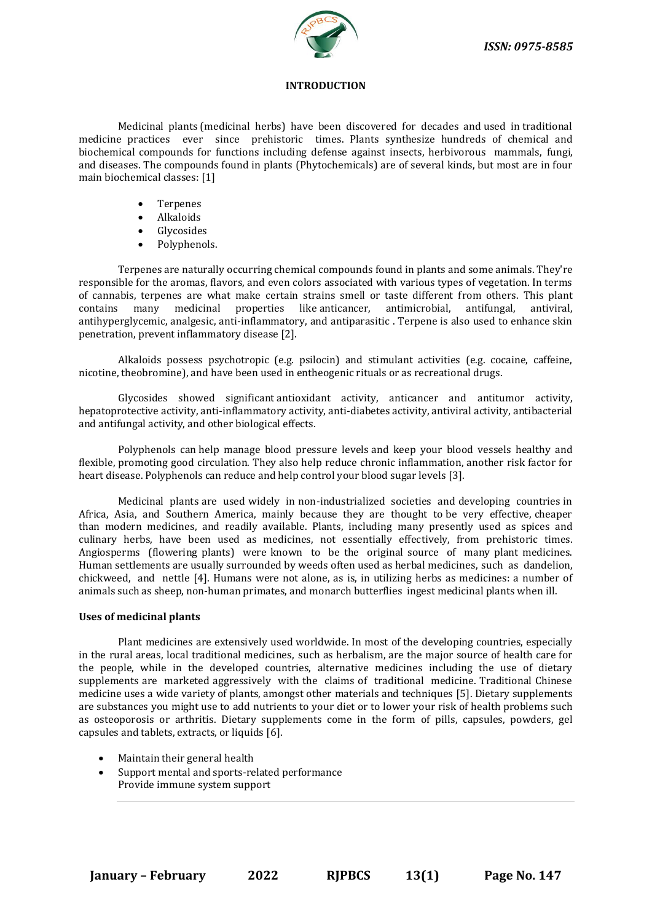

#### **INTRODUCTION**

Medicinal plants (medicinal herbs) have been discovered for decades and used in traditional medicine practices ever since prehistoric times. Plants synthesize hundreds of chemical and biochemical compounds for functions including defense against insects, herbivorous mammals, fungi, and diseases. The compounds found in plants (Phytochemicals) are of several kinds, but most are in four main biochemical classes: [1]

- **Terpenes**
- Alkaloids
- **Glycosides**
- Polyphenols.

Terpenes are naturally occurring chemical compounds found in plants and some animals. They're responsible for the aromas, flavors, and even colors associated with various types of vegetation. In terms of cannabis, terpenes are what make certain strains smell or taste different from others. This plant contains many medicinal properties like anticancer, antimicrobial, antifungal, antiviral, antihyperglycemic, analgesic, anti-inflammatory, and antiparasitic . Terpene is also used to enhance skin penetration, prevent inflammatory disease [2].

Alkaloids possess psychotropic (e.g. psilocin) and stimulant activities (e.g. cocaine, caffeine, nicotine, theobromine), and have been used in entheogenic rituals or as recreational drugs.

Glycosides showed significant antioxidant activity, anticancer and antitumor activity, hepatoprotective activity, anti-inflammatory activity, anti-diabetes activity, antiviral activity, antibacterial and antifungal activity, and other biological effects.

Polyphenols can help manage blood pressure levels and keep your blood vessels healthy and flexible, promoting good circulation. They also help reduce chronic inflammation, another risk factor for heart disease. Polyphenols can reduce and help control your blood sugar levels [3].

Medicinal plants are used widely in non-industrialized societies and developing countries in Africa, Asia, and Southern America, mainly because they are thought to be very effective, cheaper than modern medicines, and readily available. Plants, including many presently used as spices and culinary herbs, have been used as medicines, not essentially effectively, from prehistoric times. Angiosperms (flowering plants) were known to be the original source of many plant medicines. Human settlements are usually surrounded by weeds often used as herbal medicines, such as dandelion, chickweed, and nettle [4]. Humans were not alone, as is, in utilizing herbs as medicines: a number of animals such as sheep, non-human primates, and monarch butterflies ingest medicinal plants when ill.

#### **Uses of medicinal plants**

Plant medicines are extensively used worldwide. In most of the developing countries, especially in the rural areas, local traditional medicines, such as herbalism, are the major source of health care for the people, while in the developed countries, alternative medicines including the use of dietary supplements are marketed aggressively with the claims of traditional medicine. Traditional Chinese medicine uses a wide variety of plants, amongst other materials and techniques [5]. Dietary supplements are substances you might use to add nutrients to your diet or to lower your risk of health problems such as osteoporosis or arthritis. Dietary supplements come in the form of pills, capsules, powders, gel capsules and tablets, extracts, or liquids [6].

- Maintain their general health
- Support mental and sports-related performance Provide immune system support